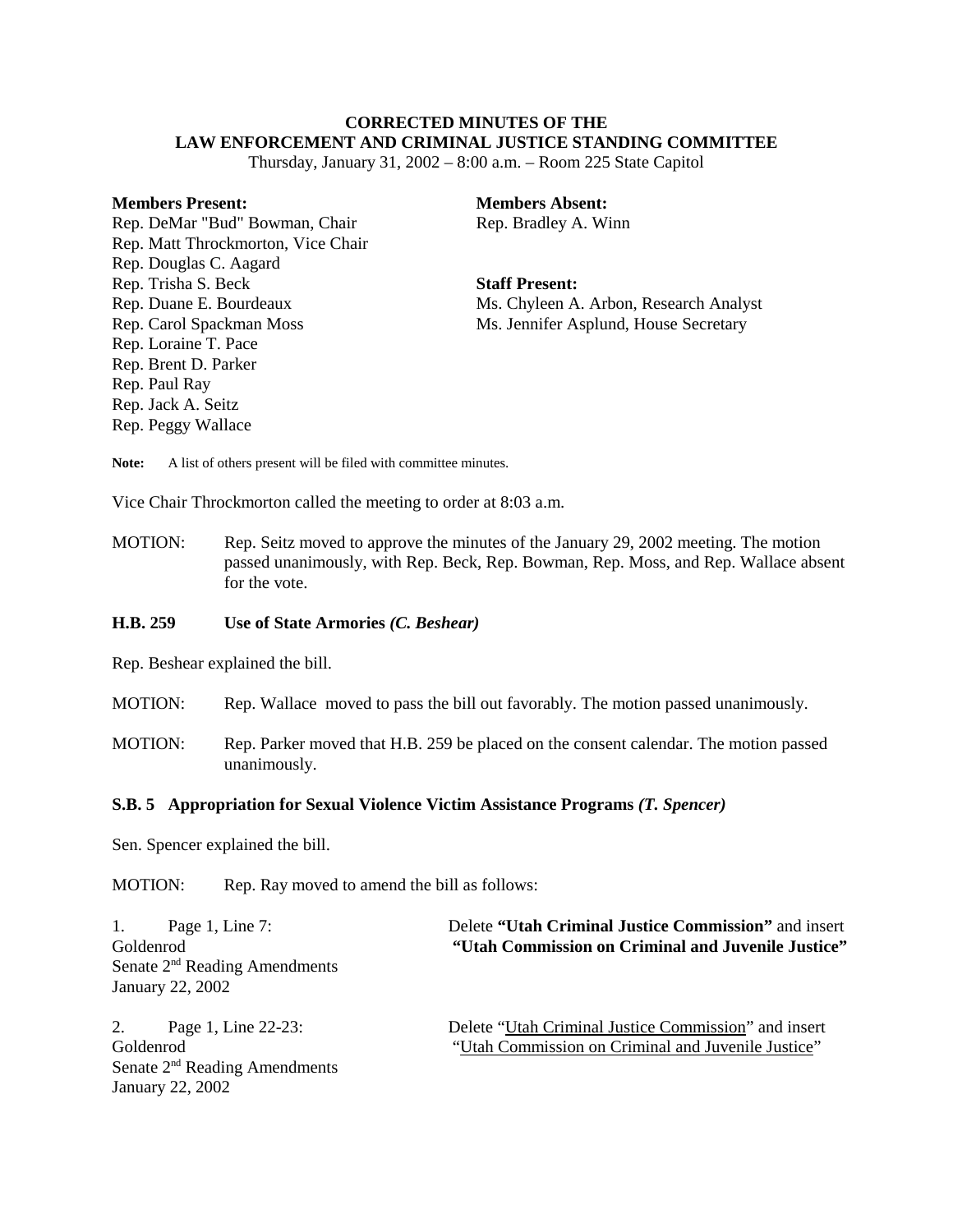# **CORRECTED MINUTES OF THE LAW ENFORCEMENT AND CRIMINAL JUSTICE STANDING COMMITTEE**

Thursday, January 31, 2002 – 8:00 a.m. – Room 225 State Capitol

### **Members Present:**

Rep. DeMar "Bud" Bowman, Chair Rep. Matt Throckmorton, Vice Chair Rep. Douglas C. Aagard Rep. Trisha S. Beck Rep. Duane E. Bourdeaux Rep. Carol Spackman Moss Rep. Loraine T. Pace Rep. Brent D. Parker Rep. Paul Ray Rep. Jack A. Seitz Rep. Peggy Wallace

**Members Absent:** Rep. Bradley A. Winn

#### **Staff Present:**

Ms. Chyleen A. Arbon, Research Analyst Ms. Jennifer Asplund, House Secretary

Note: A list of others present will be filed with committee minutes.

Vice Chair Throckmorton called the meeting to order at 8:03 a.m.

MOTION: Rep. Seitz moved to approve the minutes of the January 29, 2002 meeting. The motion passed unanimously, with Rep. Beck, Rep. Bowman, Rep. Moss, and Rep. Wallace absent for the vote.

### **H.B. 259 Use of State Armories** *(C. Beshear)*

Rep. Beshear explained the bill.

- MOTION: Rep. Wallace moved to pass the bill out favorably. The motion passed unanimously.
- MOTION: Rep. Parker moved that H.B. 259 be placed on the consent calendar. The motion passed unanimously.

# **S.B. 5 Appropriation for Sexual Violence Victim Assistance Programs** *(T. Spencer)*

Sen. Spencer explained the bill.

January 22, 2002

MOTION: Rep. Ray moved to amend the bill as follows:

| 1. Page 1, Line 7:                        | Delete "Utah Criminal Justice Commission" and insert |
|-------------------------------------------|------------------------------------------------------|
| Goldenrod                                 | "Utah Commission on Criminal and Juvenile Justice"   |
| Senate 2 <sup>nd</sup> Reading Amendments |                                                      |
| January 22, 2002                          |                                                      |
| 2. Page 1, Line 22-23:                    | Delete "Utah Criminal Justice Commission" and insert |
| Goldenrod                                 | "Utah Commission on Criminal and Juvenile Justice"   |
| Senate 2 <sup>nd</sup> Reading Amendments |                                                      |